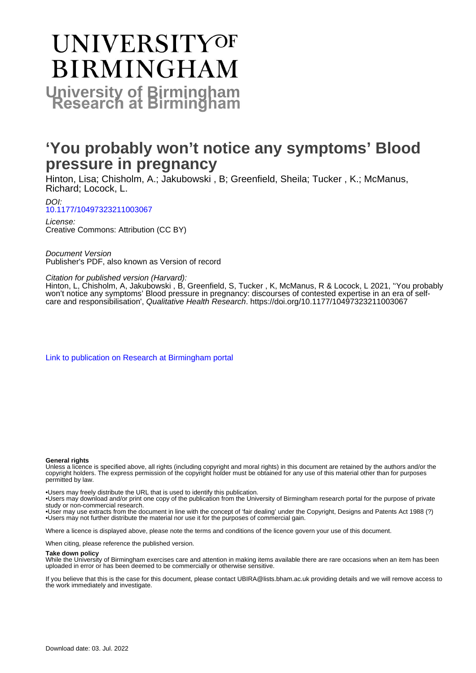# **UNIVERSITYOF BIRMINGHAM University of Birmingham**

# **'You probably won't notice any symptoms' Blood pressure in pregnancy**

Hinton, Lisa; Chisholm, A.; Jakubowski , B; Greenfield, Sheila; Tucker , K.; McManus, Richard; Locock, L.

DOI:

[10.1177/10497323211003067](https://doi.org/10.1177/10497323211003067)

License: Creative Commons: Attribution (CC BY)

Document Version Publisher's PDF, also known as Version of record

#### Citation for published version (Harvard):

Hinton, L, Chisholm, A, Jakubowski , B, Greenfield, S, Tucker , K, McManus, R & Locock, L 2021, ''You probably won't notice any symptoms' Blood pressure in pregnancy: discourses of contested expertise in an era of selfcare and responsibilisation', Qualitative Health Research. <https://doi.org/10.1177/10497323211003067>

[Link to publication on Research at Birmingham portal](https://birmingham.elsevierpure.com/en/publications/79b7f00f-d078-4b86-ba2f-826de571c0f3)

#### **General rights**

Unless a licence is specified above, all rights (including copyright and moral rights) in this document are retained by the authors and/or the copyright holders. The express permission of the copyright holder must be obtained for any use of this material other than for purposes permitted by law.

• Users may freely distribute the URL that is used to identify this publication.

• Users may download and/or print one copy of the publication from the University of Birmingham research portal for the purpose of private study or non-commercial research.

• User may use extracts from the document in line with the concept of 'fair dealing' under the Copyright, Designs and Patents Act 1988 (?) • Users may not further distribute the material nor use it for the purposes of commercial gain.

Where a licence is displayed above, please note the terms and conditions of the licence govern your use of this document.

When citing, please reference the published version.

#### **Take down policy**

While the University of Birmingham exercises care and attention in making items available there are rare occasions when an item has been uploaded in error or has been deemed to be commercially or otherwise sensitive.

If you believe that this is the case for this document, please contact UBIRA@lists.bham.ac.uk providing details and we will remove access to the work immediately and investigate.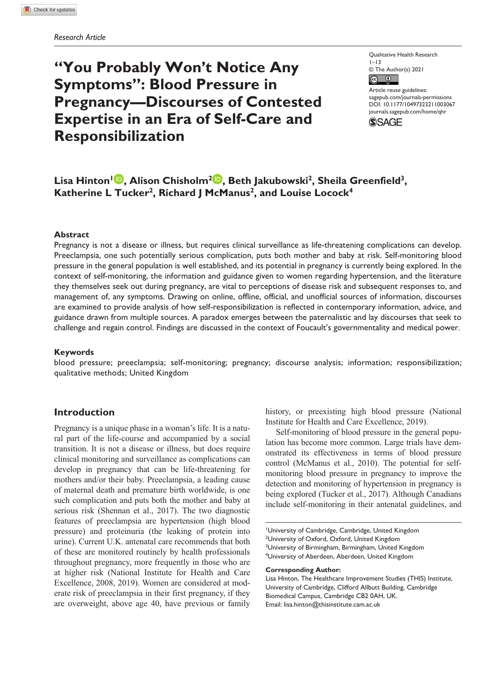# **"You Probably Won't Notice Any Symptoms": Blood Pressure in Pregnancy—Discourses of Contested Expertise in an Era of Self-Care and Responsibilization**

Qualitative Health Research  $1 - 13$ © The Author(s) 2021  $\boxed{6}$ 

Article reuse guidelines: [sagepub.com/journals-permissions](https://us.sagepub.com/en-us/journals-permissions) DOI: 10.1177/10497323211003067 [journals.sagepub.com/home/qhr](https://journals.sagepub.com/home/qhr) **SSAGE** 

# Lisa Hinton<sup>1</sup> **D**, Alison Chisholm<sup>2</sup> **D**, Beth Jakubowski<sup>2</sup>, Sheila Greenfield<sup>3</sup>, Katherine L Tucker<sup>2</sup>, Richard J McManus<sup>2</sup>, and Louise Locock<sup>4</sup>

#### **Abstract**

Pregnancy is not a disease or illness, but requires clinical surveillance as life-threatening complications can develop. Preeclampsia, one such potentially serious complication, puts both mother and baby at risk. Self-monitoring blood pressure in the general population is well established, and its potential in pregnancy is currently being explored. In the context of self-monitoring, the information and guidance given to women regarding hypertension, and the literature they themselves seek out during pregnancy, are vital to perceptions of disease risk and subsequent responses to, and management of, any symptoms. Drawing on online, offline, official, and unofficial sources of information, discourses are examined to provide analysis of how self-responsibilization is reflected in contemporary information, advice, and guidance drawn from multiple sources. A paradox emerges between the paternalistic and lay discourses that seek to challenge and regain control. Findings are discussed in the context of Foucault's governmentality and medical power.

#### **Keywords**

blood pressure; preeclampsia; self-monitoring; pregnancy; discourse analysis; information; responsibilization; qualitative methods; United Kingdom

### **Introduction**

Pregnancy is a unique phase in a woman's life. It is a natural part of the life-course and accompanied by a social transition. It is not a disease or illness, but does require clinical monitoring and surveillance as complications can develop in pregnancy that can be life-threatening for mothers and/or their baby. Preeclampsia, a leading cause of maternal death and premature birth worldwide, is one such complication and puts both the mother and baby at serious risk (Shennan et al., 2017). The two diagnostic features of preeclampsia are hypertension (high blood pressure) and proteinuria (the leaking of protein into urine). Current U.K. antenatal care recommends that both of these are monitored routinely by health professionals throughout pregnancy, more frequently in those who are at higher risk (National Institute for Health and Care Excellence, 2008, 2019). Women are considered at moderate risk of preeclampsia in their first pregnancy, if they are overweight, above age 40, have previous or family history, or preexisting high blood pressure (National Institute for Health and Care Excellence, 2019).

Self-monitoring of blood pressure in the general population has become more common. Large trials have demonstrated its effectiveness in terms of blood pressure control (McManus et al., 2010). The potential for selfmonitoring blood pressure in pregnancy to improve the detection and monitoring of hypertension in pregnancy is being explored (Tucker et al., 2017). Although Canadians include self-monitoring in their antenatal guidelines, and

1 University of Cambridge, Cambridge, United Kingdom <sup>2</sup>University of Oxford, Oxford, United Kingdom <sup>3</sup>University of Birmingham, Birmingham, United Kingdom 4 University of Aberdeen, Aberdeen, United Kingdom

#### **Corresponding Author:**

Lisa Hinton, The Healthcare Improvement Studies (THIS) Institute, University of Cambridge, Clifford Allbutt Building, Cambridge Biomedical Campus, Cambridge CB2 0AH, UK. Email: [lisa.hinton@thisinstitute.cam.ac.uk](mailto:lisa.hinton@thisinstitute.cam.ac.uk)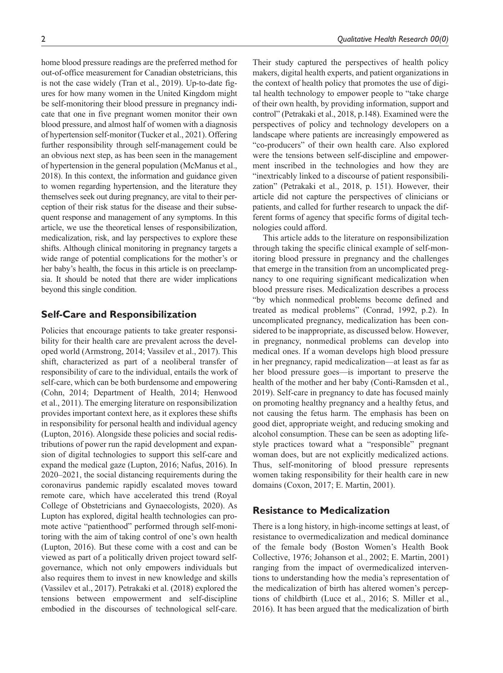home blood pressure readings are the preferred method for out-of-office measurement for Canadian obstetricians, this is not the case widely (Tran et al., 2019). Up-to-date figures for how many women in the United Kingdom might be self-monitoring their blood pressure in pregnancy indicate that one in five pregnant women monitor their own blood pressure, and almost half of women with a diagnosis of hypertension self-monitor (Tucker et al., 2021). Offering further responsibility through self-management could be an obvious next step, as has been seen in the management of hypertension in the general population (McManus et al., 2018). In this context, the information and guidance given to women regarding hypertension, and the literature they themselves seek out during pregnancy, are vital to their perception of their risk status for the disease and their subsequent response and management of any symptoms. In this article, we use the theoretical lenses of responsibilization, medicalization, risk, and lay perspectives to explore these shifts. Although clinical monitoring in pregnancy targets a wide range of potential complications for the mother's or her baby's health, the focus in this article is on preeclampsia. It should be noted that there are wider implications beyond this single condition.

# **Self-Care and Responsibilization**

Policies that encourage patients to take greater responsibility for their health care are prevalent across the developed world (Armstrong, 2014; Vassilev et al., 2017). This shift, characterized as part of a neoliberal transfer of responsibility of care to the individual, entails the work of self-care, which can be both burdensome and empowering (Cohn, 2014; Department of Health, 2014; Henwood et al., 2011). The emerging literature on responsibilization provides important context here, as it explores these shifts in responsibility for personal health and individual agency (Lupton, 2016). Alongside these policies and social redistributions of power run the rapid development and expansion of digital technologies to support this self-care and expand the medical gaze (Lupton, 2016; Nafus, 2016). In 2020–2021, the social distancing requirements during the coronavirus pandemic rapidly escalated moves toward remote care, which have accelerated this trend (Royal College of Obstetricians and Gynaecologists, 2020). As Lupton has explored, digital health technologies can promote active "patienthood" performed through self-monitoring with the aim of taking control of one's own health (Lupton, 2016). But these come with a cost and can be viewed as part of a politically driven project toward selfgovernance, which not only empowers individuals but also requires them to invest in new knowledge and skills (Vassilev et al., 2017). Petrakaki et al. (2018) explored the tensions between empowerment and self-discipline embodied in the discourses of technological self-care.

Their study captured the perspectives of health policy makers, digital health experts, and patient organizations in the context of health policy that promotes the use of digital health technology to empower people to "take charge of their own health, by providing information, support and control" (Petrakaki et al., 2018, p.148). Examined were the perspectives of policy and technology developers on a landscape where patients are increasingly empowered as "co-producers" of their own health care. Also explored were the tensions between self-discipline and empowerment inscribed in the technologies and how they are "inextricably linked to a discourse of patient responsibilization" (Petrakaki et al., 2018, p. 151). However, their article did not capture the perspectives of clinicians or patients, and called for further research to unpack the different forms of agency that specific forms of digital technologies could afford.

This article adds to the literature on responsibilization through taking the specific clinical example of self-monitoring blood pressure in pregnancy and the challenges that emerge in the transition from an uncomplicated pregnancy to one requiring significant medicalization when blood pressure rises. Medicalization describes a process "by which nonmedical problems become defined and treated as medical problems" (Conrad, 1992, p.2). In uncomplicated pregnancy, medicalization has been considered to be inappropriate, as discussed below. However, in pregnancy, nonmedical problems can develop into medical ones. If a woman develops high blood pressure in her pregnancy, rapid medicalization—at least as far as her blood pressure goes—is important to preserve the health of the mother and her baby (Conti-Ramsden et al., 2019). Self-care in pregnancy to date has focused mainly on promoting healthy pregnancy and a healthy fetus, and not causing the fetus harm. The emphasis has been on good diet, appropriate weight, and reducing smoking and alcohol consumption. These can be seen as adopting lifestyle practices toward what a "responsible" pregnant woman does, but are not explicitly medicalized actions. Thus, self-monitoring of blood pressure represents women taking responsibility for their health care in new domains (Coxon, 2017; E. Martin, 2001).

# **Resistance to Medicalization**

There is a long history, in high-income settings at least, of resistance to overmedicalization and medical dominance of the female body (Boston Women's Health Book Collective, 1976; Johanson et al., 2002; E. Martin, 2001) ranging from the impact of overmedicalized interventions to understanding how the media's representation of the medicalization of birth has altered women's perceptions of childbirth (Luce et al., 2016; S. Miller et al., 2016). It has been argued that the medicalization of birth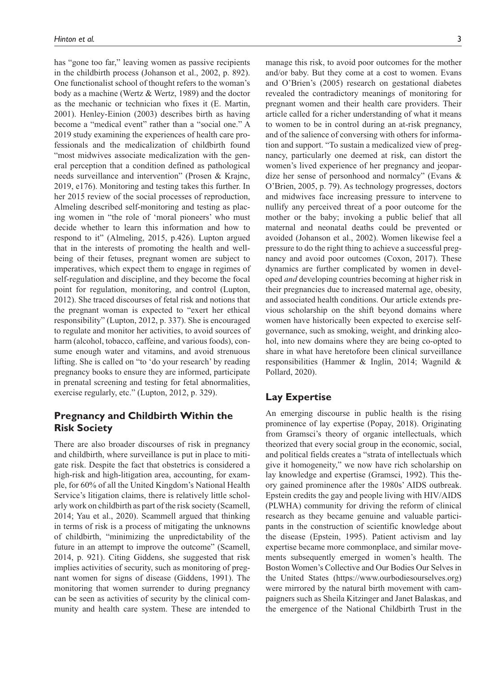has "gone too far," leaving women as passive recipients in the childbirth process (Johanson et al., 2002, p. 892). One functionalist school of thought refers to the woman's body as a machine (Wertz & Wertz, 1989) and the doctor as the mechanic or technician who fixes it (E. Martin, 2001). Henley-Einion (2003) describes birth as having become a "medical event" rather than a "social one." A 2019 study examining the experiences of health care professionals and the medicalization of childbirth found "most midwives associate medicalization with the general perception that a condition defined as pathological needs surveillance and intervention" (Prosen & Krajnc, 2019, e176). Monitoring and testing takes this further. In her 2015 review of the social processes of reproduction, Almeling described self-monitoring and testing as placing women in "the role of 'moral pioneers' who must decide whether to learn this information and how to respond to it" (Almeling, 2015, p.426). Lupton argued that in the interests of promoting the health and wellbeing of their fetuses, pregnant women are subject to imperatives, which expect them to engage in regimes of self-regulation and discipline, and they become the focal point for regulation, monitoring, and control (Lupton, 2012). She traced discourses of fetal risk and notions that the pregnant woman is expected to "exert her ethical responsibility" (Lupton, 2012, p. 337). She is encouraged to regulate and monitor her activities, to avoid sources of harm (alcohol, tobacco, caffeine, and various foods), consume enough water and vitamins, and avoid strenuous lifting. She is called on "to 'do your research' by reading pregnancy books to ensure they are informed, participate in prenatal screening and testing for fetal abnormalities, exercise regularly, etc." (Lupton, 2012, p. 329).

# **Pregnancy and Childbirth Within the Risk Society**

There are also broader discourses of risk in pregnancy and childbirth, where surveillance is put in place to mitigate risk. Despite the fact that obstetrics is considered a high-risk and high-litigation area, accounting, for example, for 60% of all the United Kingdom's National Health Service's litigation claims, there is relatively little scholarly work on childbirth as part of the risk society (Scamell, 2014; Yau et al., 2020). Scammell argued that thinking in terms of risk is a process of mitigating the unknowns of childbirth, "minimizing the unpredictability of the future in an attempt to improve the outcome" (Scamell, 2014, p. 921). Citing Giddens, she suggested that risk implies activities of security, such as monitoring of pregnant women for signs of disease (Giddens, 1991). The monitoring that women surrender to during pregnancy can be seen as activities of security by the clinical community and health care system. These are intended to manage this risk, to avoid poor outcomes for the mother and/or baby. But they come at a cost to women. Evans and O'Brien's (2005) research on gestational diabetes revealed the contradictory meanings of monitoring for pregnant women and their health care providers. Their article called for a richer understanding of what it means to women to be in control during an at-risk pregnancy, and of the salience of conversing with others for information and support. "To sustain a medicalized view of pregnancy, particularly one deemed at risk, can distort the women's lived experience of her pregnancy and jeopardize her sense of personhood and normalcy" (Evans & O'Brien, 2005, p. 79). As technology progresses, doctors and midwives face increasing pressure to intervene to nullify any perceived threat of a poor outcome for the mother or the baby; invoking a public belief that all maternal and neonatal deaths could be prevented or avoided (Johanson et al., 2002). Women likewise feel a pressure to do the right thing to achieve a successful pregnancy and avoid poor outcomes (Coxon, 2017). These dynamics are further complicated by women in developed *and* developing countries becoming at higher risk in their pregnancies due to increased maternal age, obesity, and associated health conditions. Our article extends previous scholarship on the shift beyond domains where women have historically been expected to exercise selfgovernance, such as smoking, weight, and drinking alcohol, into new domains where they are being co-opted to share in what have heretofore been clinical surveillance responsibilities (Hammer & Inglin, 2014; Wagnild & Pollard, 2020).

# **Lay Expertise**

An emerging discourse in public health is the rising prominence of lay expertise (Popay, 2018). Originating from Gramsci's theory of organic intellectuals, which theorized that every social group in the economic, social, and political fields creates a "strata of intellectuals which give it homogeneity," we now have rich scholarship on lay knowledge and expertise (Gramsci, 1992). This theory gained prominence after the 1980s' AIDS outbreak. Epstein credits the gay and people living with HIV/AIDS (PLWHA) community for driving the reform of clinical research as they became genuine and valuable participants in the construction of scientific knowledge about the disease (Epstein, 1995). Patient activism and lay expertise became more commonplace, and similar movements subsequently emerged in women's health. The Boston Women's Collective and Our Bodies Our Selves in the United States [\(https://www.ourbodiesourselves.org\)](https://www.ourbodiesourselves.org) were mirrored by the natural birth movement with campaigners such as Sheila Kitzinger and Janet Balaskas, and the emergence of the National Childbirth Trust in the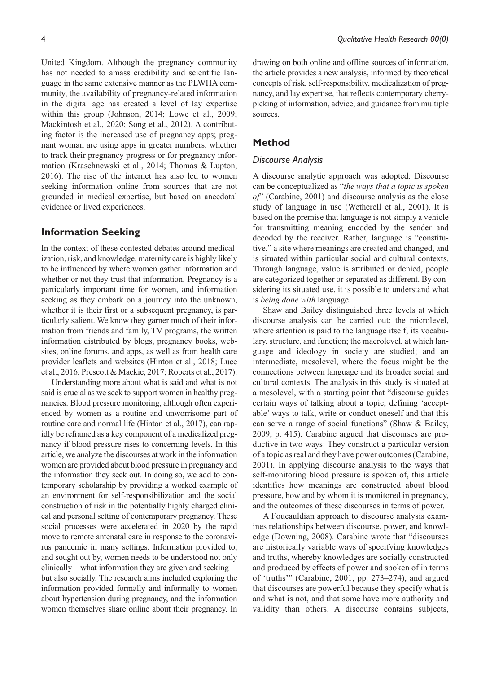United Kingdom. Although the pregnancy community has not needed to amass credibility and scientific language in the same extensive manner as the PLWHA community, the availability of pregnancy-related information in the digital age has created a level of lay expertise within this group (Johnson, 2014; Lowe et al., 2009; Mackintosh et al., 2020; Song et al., 2012). A contributing factor is the increased use of pregnancy apps; pregnant woman are using apps in greater numbers, whether to track their pregnancy progress or for pregnancy information (Kraschnewski et al., 2014; Thomas & Lupton, 2016). The rise of the internet has also led to women seeking information online from sources that are not grounded in medical expertise, but based on anecdotal evidence or lived experiences.

# **Information Seeking**

In the context of these contested debates around medicalization, risk, and knowledge, maternity care is highly likely to be influenced by where women gather information and whether or not they trust that information. Pregnancy is a particularly important time for women, and information seeking as they embark on a journey into the unknown, whether it is their first or a subsequent pregnancy, is particularly salient. We know they garner much of their information from friends and family, TV programs, the written information distributed by blogs, pregnancy books, websites, online forums, and apps, as well as from health care provider leaflets and websites (Hinton et al., 2018; Luce et al., 2016; Prescott & Mackie, 2017; Roberts et al., 2017).

Understanding more about what is said and what is not said is crucial as we seek to support women in healthy pregnancies. Blood pressure monitoring, although often experienced by women as a routine and unworrisome part of routine care and normal life (Hinton et al., 2017), can rapidly be reframed as a key component of a medicalized pregnancy if blood pressure rises to concerning levels. In this article, we analyze the discourses at work in the information women are provided about blood pressure in pregnancy and the information they seek out. In doing so, we add to contemporary scholarship by providing a worked example of an environment for self-responsibilization and the social construction of risk in the potentially highly charged clinical and personal setting of contemporary pregnancy. These social processes were accelerated in 2020 by the rapid move to remote antenatal care in response to the coronavirus pandemic in many settings. Information provided to, and sought out by, women needs to be understood not only clinically—what information they are given and seeking but also socially. The research aims included exploring the information provided formally and informally to women about hypertension during pregnancy, and the information women themselves share online about their pregnancy. In

drawing on both online and offline sources of information, the article provides a new analysis, informed by theoretical concepts of risk, self-responsibility, medicalization of pregnancy, and lay expertise, that reflects contemporary cherrypicking of information, advice, and guidance from multiple sources.

# **Method**

# *Discourse Analysis*

A discourse analytic approach was adopted. Discourse can be conceptualized as "*the ways that a topic is spoken of*" (Carabine, 2001) and discourse analysis as the close study of language in use (Wetherell et al., 2001). It is based on the premise that language is not simply a vehicle for transmitting meaning encoded by the sender and decoded by the receiver. Rather, language is "constitutive," a site where meanings are created and changed, and is situated within particular social and cultural contexts. Through language, value is attributed or denied, people are categorized together or separated as different. By considering its situated use, it is possible to understand what is *being done with* language.

Shaw and Bailey distinguished three levels at which discourse analysis can be carried out: the microlevel, where attention is paid to the language itself, its vocabulary, structure, and function; the macrolevel, at which language and ideology in society are studied; and an intermediate, mesolevel, where the focus might be the connections between language and its broader social and cultural contexts. The analysis in this study is situated at a mesolevel, with a starting point that "discourse guides certain ways of talking about a topic, defining 'acceptable' ways to talk, write or conduct oneself and that this can serve a range of social functions" (Shaw & Bailey, 2009, p. 415). Carabine argued that discourses are productive in two ways: They construct a particular version of a topic as real and they have power outcomes (Carabine, 2001). In applying discourse analysis to the ways that self-monitoring blood pressure is spoken of, this article identifies how meanings are constructed about blood pressure, how and by whom it is monitored in pregnancy, and the outcomes of these discourses in terms of power.

A Foucauldian approach to discourse analysis examines relationships between discourse, power, and knowledge (Downing, 2008). Carabine wrote that "discourses are historically variable ways of specifying knowledges and truths, whereby knowledges are socially constructed and produced by effects of power and spoken of in terms of 'truths'" (Carabine, 2001, pp. 273–274), and argued that discourses are powerful because they specify what is and what is not, and that some have more authority and validity than others. A discourse contains subjects,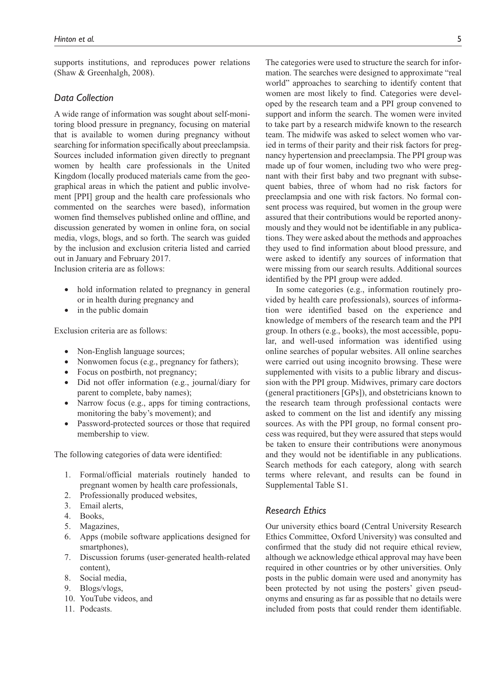supports institutions, and reproduces power relations (Shaw & Greenhalgh, 2008).

#### *Data Collection*

A wide range of information was sought about self-monitoring blood pressure in pregnancy, focusing on material that is available to women during pregnancy without searching for information specifically about preeclampsia. Sources included information given directly to pregnant women by health care professionals in the United Kingdom (locally produced materials came from the geographical areas in which the patient and public involvement [PPI] group and the health care professionals who commented on the searches were based), information women find themselves published online and offline, and discussion generated by women in online fora, on social media, vlogs, blogs, and so forth. The search was guided by the inclusion and exclusion criteria listed and carried out in January and February 2017.

Inclusion criteria are as follows:

- hold information related to pregnancy in general or in health during pregnancy and
- in the public domain

Exclusion criteria are as follows:

- Non-English language sources;
- Nonwomen focus (e.g., pregnancy for fathers);
- Focus on postbirth, not pregnancy;
- Did not offer information (e.g., journal/diary for parent to complete, baby names);
- Narrow focus (e.g., apps for timing contractions, monitoring the baby's movement); and
- Password-protected sources or those that required membership to view.

The following categories of data were identified:

- 1. Formal/official materials routinely handed to pregnant women by health care professionals,
- 2. Professionally produced websites,
- 3. Email alerts,
- 4. Books,
- 5. Magazines,
- 6. Apps (mobile software applications designed for smartphones),
- 7. Discussion forums (user-generated health-related content),
- 8. Social media,
- 9. Blogs/vlogs,
- 10. YouTube videos, and
- 11. Podcasts.

The categories were used to structure the search for information. The searches were designed to approximate "real world" approaches to searching to identify content that women are most likely to find. Categories were developed by the research team and a PPI group convened to support and inform the search. The women were invited to take part by a research midwife known to the research team. The midwife was asked to select women who varied in terms of their parity and their risk factors for pregnancy hypertension and preeclampsia. The PPI group was made up of four women, including two who were pregnant with their first baby and two pregnant with subsequent babies, three of whom had no risk factors for preeclampsia and one with risk factors. No formal consent process was required, but women in the group were assured that their contributions would be reported anonymously and they would not be identifiable in any publications. They were asked about the methods and approaches they used to find information about blood pressure, and were asked to identify any sources of information that were missing from our search results. Additional sources identified by the PPI group were added.

In some categories (e.g., information routinely provided by health care professionals), sources of information were identified based on the experience and knowledge of members of the research team and the PPI group. In others (e.g., books), the most accessible, popular, and well-used information was identified using online searches of popular websites. All online searches were carried out using incognito browsing. These were supplemented with visits to a public library and discussion with the PPI group. Midwives, primary care doctors (general practitioners [GPs]), and obstetricians known to the research team through professional contacts were asked to comment on the list and identify any missing sources. As with the PPI group, no formal consent process was required, but they were assured that steps would be taken to ensure their contributions were anonymous and they would not be identifiable in any publications. Search methods for each category, along with search terms where relevant, and results can be found in Supplemental Table S1.

#### *Research Ethics*

Our university ethics board (Central University Research Ethics Committee, Oxford University) was consulted and confirmed that the study did not require ethical review, although we acknowledge ethical approval may have been required in other countries or by other universities. Only posts in the public domain were used and anonymity has been protected by not using the posters' given pseudonyms and ensuring as far as possible that no details were included from posts that could render them identifiable.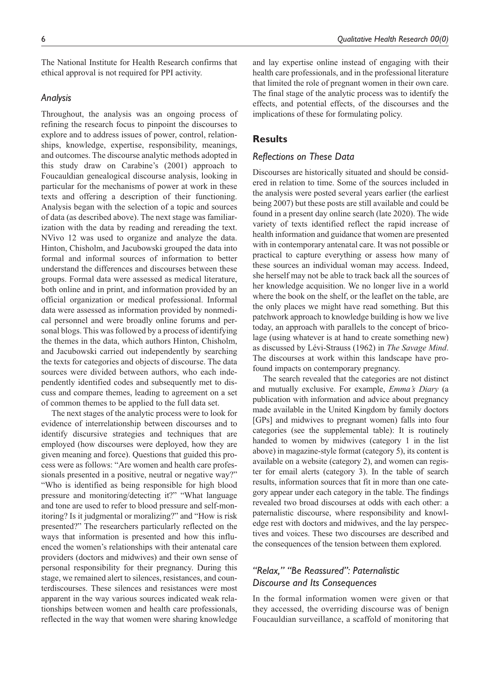The National Institute for Health Research confirms that ethical approval is not required for PPI activity.

#### *Analysis*

Throughout, the analysis was an ongoing process of refining the research focus to pinpoint the discourses to explore and to address issues of power, control, relationships, knowledge, expertise, responsibility, meanings, and outcomes. The discourse analytic methods adopted in this study draw on Carabine's (2001) approach to Foucauldian genealogical discourse analysis, looking in particular for the mechanisms of power at work in these texts and offering a description of their functioning. Analysis began with the selection of a topic and sources of data (as described above). The next stage was familiarization with the data by reading and rereading the text. NVivo 12 was used to organize and analyze the data. Hinton, Chisholm, and Jacubowski grouped the data into formal and informal sources of information to better understand the differences and discourses between these groups. Formal data were assessed as medical literature, both online and in print, and information provided by an official organization or medical professional. Informal data were assessed as information provided by nonmedical personnel and were broadly online forums and personal blogs. This was followed by a process of identifying the themes in the data, which authors Hinton, Chisholm, and Jacubowski carried out independently by searching the texts for categories and objects of discourse. The data sources were divided between authors, who each independently identified codes and subsequently met to discuss and compare themes, leading to agreement on a set of common themes to be applied to the full data set.

The next stages of the analytic process were to look for evidence of interrelationship between discourses and to identify discursive strategies and techniques that are employed (how discourses were deployed, how they are given meaning and force). Questions that guided this process were as follows: "Are women and health care professionals presented in a positive, neutral or negative way?" "Who is identified as being responsible for high blood pressure and monitoring/detecting it?" "What language and tone are used to refer to blood pressure and self-monitoring? Is it judgmental or moralizing?" and "How is risk presented?" The researchers particularly reflected on the ways that information is presented and how this influenced the women's relationships with their antenatal care providers (doctors and midwives) and their own sense of personal responsibility for their pregnancy. During this stage, we remained alert to silences, resistances, and counterdiscourses. These silences and resistances were most apparent in the way various sources indicated weak relationships between women and health care professionals, reflected in the way that women were sharing knowledge

and lay expertise online instead of engaging with their health care professionals, and in the professional literature that limited the role of pregnant women in their own care. The final stage of the analytic process was to identify the effects, and potential effects, of the discourses and the implications of these for formulating policy.

## **Results**

#### *Reflections on These Data*

Discourses are historically situated and should be considered in relation to time. Some of the sources included in the analysis were posted several years earlier (the earliest being 2007) but these posts are still available and could be found in a present day online search (late 2020). The wide variety of texts identified reflect the rapid increase of health information and guidance that women are presented with in contemporary antenatal care. It was not possible or practical to capture everything or assess how many of these sources an individual woman may access. Indeed, she herself may not be able to track back all the sources of her knowledge acquisition. We no longer live in a world where the book on the shelf, or the leaflet on the table, are the only places we might have read something. But this patchwork approach to knowledge building is how we live today, an approach with parallels to the concept of bricolage (using whatever is at hand to create something new) as discussed by Lévi-Strauss (1962) in *The Savage Mind*. The discourses at work within this landscape have profound impacts on contemporary pregnancy.

The search revealed that the categories are not distinct and mutually exclusive. For example, *Emma's Diary* (a publication with information and advice about pregnancy made available in the United Kingdom by family doctors [GPs] and midwives to pregnant women) falls into four categories (see the supplemental table): It is routinely handed to women by midwives (category 1 in the list above) in magazine-style format (category 5), its content is available on a website (category 2), and women can register for email alerts (category 3). In the table of search results, information sources that fit in more than one category appear under each category in the table. The findings revealed two broad discourses at odds with each other: a paternalistic discourse, where responsibility and knowledge rest with doctors and midwives, and the lay perspectives and voices. These two discourses are described and the consequences of the tension between them explored.

# *"Relax," "Be Reassured": Paternalistic Discourse and Its Consequences*

In the formal information women were given or that they accessed, the overriding discourse was of benign Foucauldian surveillance, a scaffold of monitoring that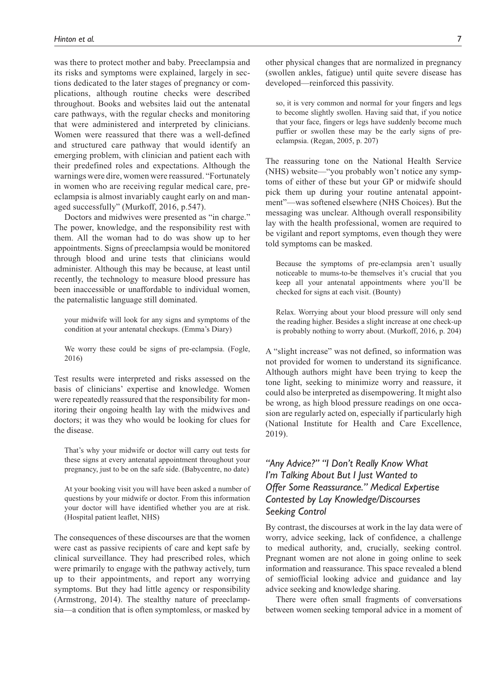was there to protect mother and baby. Preeclampsia and its risks and symptoms were explained, largely in sections dedicated to the later stages of pregnancy or complications, although routine checks were described throughout. Books and websites laid out the antenatal care pathways, with the regular checks and monitoring that were administered and interpreted by clinicians. Women were reassured that there was a well-defined and structured care pathway that would identify an emerging problem, with clinician and patient each with their predefined roles and expectations. Although the warnings were dire, women were reassured. "Fortunately in women who are receiving regular medical care, preeclampsia is almost invariably caught early on and managed successfully" (Murkoff, 2016, p.547).

Doctors and midwives were presented as "in charge." The power, knowledge, and the responsibility rest with them. All the woman had to do was show up to her appointments. Signs of preeclampsia would be monitored through blood and urine tests that clinicians would administer. Although this may be because, at least until recently, the technology to measure blood pressure has been inaccessible or unaffordable to individual women, the paternalistic language still dominated.

your midwife will look for any signs and symptoms of the condition at your antenatal checkups. (Emma's Diary)

We worry these could be signs of pre-eclampsia. (Fogle, 2016)

Test results were interpreted and risks assessed on the basis of clinicians' expertise and knowledge. Women were repeatedly reassured that the responsibility for monitoring their ongoing health lay with the midwives and doctors; it was they who would be looking for clues for the disease.

That's why your midwife or doctor will carry out tests for these signs at every antenatal appointment throughout your pregnancy, just to be on the safe side. (Babycentre, no date)

At your booking visit you will have been asked a number of questions by your midwife or doctor. From this information your doctor will have identified whether you are at risk. (Hospital patient leaflet, NHS)

The consequences of these discourses are that the women were cast as passive recipients of care and kept safe by clinical surveillance. They had prescribed roles, which were primarily to engage with the pathway actively, turn up to their appointments, and report any worrying symptoms. But they had little agency or responsibility (Armstrong, 2014). The stealthy nature of preeclampsia—a condition that is often symptomless, or masked by other physical changes that are normalized in pregnancy (swollen ankles, fatigue) until quite severe disease has developed—reinforced this passivity.

so, it is very common and normal for your fingers and legs to become slightly swollen. Having said that, if you notice that your face, fingers or legs have suddenly become much puffier or swollen these may be the early signs of preeclampsia. (Regan, 2005, p. 207)

The reassuring tone on the National Health Service (NHS) website—"you probably won't notice any symptoms of either of these but your GP or midwife should pick them up during your routine antenatal appointment"—was softened elsewhere (NHS Choices). But the messaging was unclear. Although overall responsibility lay with the health professional, women are required to be vigilant and report symptoms, even though they were told symptoms can be masked.

Because the symptoms of pre-eclampsia aren't usually noticeable to mums-to-be themselves it's crucial that you keep all your antenatal appointments where you'll be checked for signs at each visit. (Bounty)

Relax. Worrying about your blood pressure will only send the reading higher. Besides a slight increase at one check-up is probably nothing to worry about. (Murkoff, 2016, p. 204)

A "slight increase" was not defined, so information was not provided for women to understand its significance. Although authors might have been trying to keep the tone light, seeking to minimize worry and reassure, it could also be interpreted as disempowering. It might also be wrong, as high blood pressure readings on one occasion are regularly acted on, especially if particularly high (National Institute for Health and Care Excellence, 2019).

# *"Any Advice?" "I Don't Really Know What I'm Talking About But I Just Wanted to Offer Some Reassurance." Medical Expertise Contested by Lay Knowledge/Discourses Seeking Control*

By contrast, the discourses at work in the lay data were of worry, advice seeking, lack of confidence, a challenge to medical authority, and, crucially, seeking control. Pregnant women are not alone in going online to seek information and reassurance. This space revealed a blend of semiofficial looking advice and guidance and lay advice seeking and knowledge sharing.

There were often small fragments of conversations between women seeking temporal advice in a moment of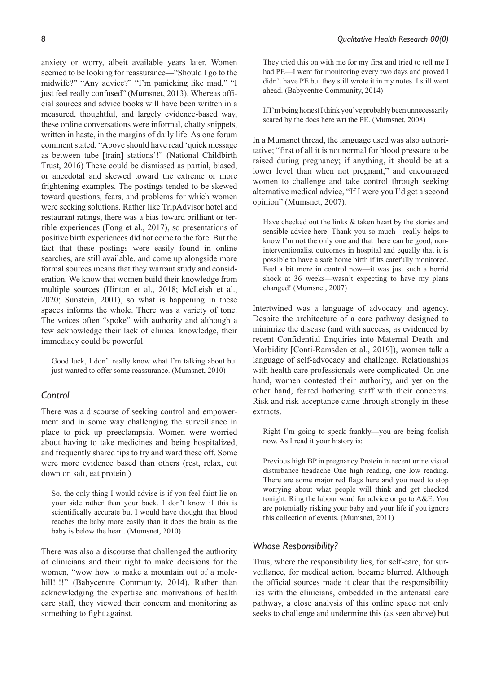anxiety or worry, albeit available years later. Women seemed to be looking for reassurance—"Should I go to the midwife?" "Any advice?" "I'm panicking like mad," "I just feel really confused" (Mumsnet, 2013). Whereas official sources and advice books will have been written in a measured, thoughtful, and largely evidence-based way, these online conversations were informal, chatty snippets, written in haste, in the margins of daily life. As one forum comment stated, "Above should have read 'quick message as between tube [train] stations'!" (National Childbirth Trust, 2016) These could be dismissed as partial, biased, or anecdotal and skewed toward the extreme or more frightening examples. The postings tended to be skewed toward questions, fears, and problems for which women were seeking solutions. Rather like TripAdvisor hotel and restaurant ratings, there was a bias toward brilliant or terrible experiences (Fong et al., 2017), so presentations of positive birth experiences did not come to the fore. But the fact that these postings were easily found in online searches, are still available, and come up alongside more formal sources means that they warrant study and consideration. We know that women build their knowledge from multiple sources (Hinton et al., 2018; McLeish et al., 2020; Sunstein, 2001), so what is happening in these spaces informs the whole. There was a variety of tone. The voices often "spoke" with authority and although a few acknowledge their lack of clinical knowledge, their immediacy could be powerful.

Good luck, I don't really know what I'm talking about but just wanted to offer some reassurance. (Mumsnet, 2010)

# *Control*

There was a discourse of seeking control and empowerment and in some way challenging the surveillance in place to pick up preeclampsia. Women were worried about having to take medicines and being hospitalized, and frequently shared tips to try and ward these off. Some were more evidence based than others (rest, relax, cut down on salt, eat protein.)

So, the only thing I would advise is if you feel faint lie on your side rather than your back. I don't know if this is scientifically accurate but I would have thought that blood reaches the baby more easily than it does the brain as the baby is below the heart. (Mumsnet, 2010)

There was also a discourse that challenged the authority of clinicians and their right to make decisions for the women, "wow how to make a mountain out of a molehill!!!!" (Babycentre Community, 2014). Rather than acknowledging the expertise and motivations of health care staff, they viewed their concern and monitoring as something to fight against.

They tried this on with me for my first and tried to tell me I had PE—I went for monitoring every two days and proved I didn't have PE but they still wrote it in my notes. I still went ahead. (Babycentre Community, 2014)

If I'm being honest I think you've probably been unnecessarily scared by the docs here wrt the PE. (Mumsnet, 2008)

In a Mumsnet thread, the language used was also authoritative; "first of all it is not normal for blood pressure to be raised during pregnancy; if anything, it should be at a lower level than when not pregnant," and encouraged women to challenge and take control through seeking alternative medical advice, "If I were you I'd get a second opinion" (Mumsnet, 2007).

Have checked out the links  $&$  taken heart by the stories and sensible advice here. Thank you so much—really helps to know I'm not the only one and that there can be good, noninterventionalist outcomes in hospital and equally that it is possible to have a safe home birth if its carefully monitored. Feel a bit more in control now—it was just such a horrid shock at 36 weeks—wasn't expecting to have my plans changed! (Mumsnet, 2007)

Intertwined was a language of advocacy and agency. Despite the architecture of a care pathway designed to minimize the disease (and with success, as evidenced by recent Confidential Enquiries into Maternal Death and Morbidity [Conti-Ramsden et al., 2019]), women talk a language of self-advocacy and challenge. Relationships with health care professionals were complicated. On one hand, women contested their authority, and yet on the other hand, feared bothering staff with their concerns. Risk and risk acceptance came through strongly in these extracts.

Right I'm going to speak frankly—you are being foolish now. As I read it your history is:

Previous high BP in pregnancy Protein in recent urine visual disturbance headache One high reading, one low reading. There are some major red flags here and you need to stop worrying about what people will think and get checked tonight. Ring the labour ward for advice or go to A&E. You are potentially risking your baby and your life if you ignore this collection of events. (Mumsnet, 2011)

### *Whose Responsibility?*

Thus, where the responsibility lies, for self-care, for surveillance, for medical action, became blurred. Although the official sources made it clear that the responsibility lies with the clinicians, embedded in the antenatal care pathway, a close analysis of this online space not only seeks to challenge and undermine this (as seen above) but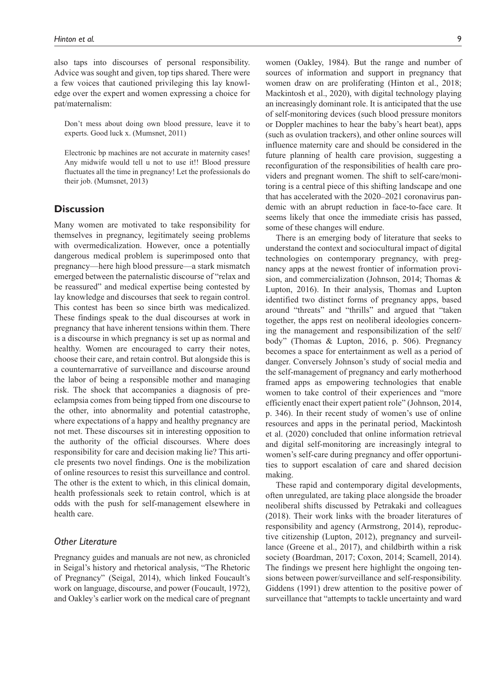also taps into discourses of personal responsibility. Advice was sought and given, top tips shared. There were a few voices that cautioned privileging this lay knowledge over the expert and women expressing a choice for pat/maternalism:

Don't mess about doing own blood pressure, leave it to experts. Good luck x. (Mumsnet, 2011)

Electronic bp machines are not accurate in maternity cases! Any midwife would tell u not to use it!! Blood pressure fluctuates all the time in pregnancy! Let the professionals do their job. (Mumsnet, 2013)

# **Discussion**

Many women are motivated to take responsibility for themselves in pregnancy, legitimately seeing problems with overmedicalization. However, once a potentially dangerous medical problem is superimposed onto that pregnancy—here high blood pressure—a stark mismatch emerged between the paternalistic discourse of "relax and be reassured" and medical expertise being contested by lay knowledge and discourses that seek to regain control. This contest has been so since birth was medicalized. These findings speak to the dual discourses at work in pregnancy that have inherent tensions within them. There is a discourse in which pregnancy is set up as normal and healthy. Women are encouraged to carry their notes, choose their care, and retain control. But alongside this is a counternarrative of surveillance and discourse around the labor of being a responsible mother and managing risk. The shock that accompanies a diagnosis of preeclampsia comes from being tipped from one discourse to the other, into abnormality and potential catastrophe, where expectations of a happy and healthy pregnancy are not met. These discourses sit in interesting opposition to the authority of the official discourses. Where does responsibility for care and decision making lie? This article presents two novel findings. One is the mobilization of online resources to resist this surveillance and control. The other is the extent to which, in this clinical domain, health professionals seek to retain control, which is at odds with the push for self-management elsewhere in health care.

# *Other Literature*

Pregnancy guides and manuals are not new, as chronicled in Seigal's history and rhetorical analysis, "The Rhetoric of Pregnancy" (Seigal, 2014), which linked Foucault's work on language, discourse, and power (Foucault, 1972), and Oakley's earlier work on the medical care of pregnant women (Oakley, 1984). But the range and number of sources of information and support in pregnancy that women draw on are proliferating (Hinton et al., 2018; Mackintosh et al., 2020), with digital technology playing an increasingly dominant role. It is anticipated that the use of self-monitoring devices (such blood pressure monitors or Doppler machines to hear the baby's heart beat), apps (such as ovulation trackers), and other online sources will influence maternity care and should be considered in the future planning of health care provision, suggesting a reconfiguration of the responsibilities of health care providers and pregnant women. The shift to self-care/monitoring is a central piece of this shifting landscape and one that has accelerated with the 2020–2021 coronavirus pandemic with an abrupt reduction in face-to-face care. It seems likely that once the immediate crisis has passed, some of these changes will endure.

There is an emerging body of literature that seeks to understand the context and sociocultural impact of digital technologies on contemporary pregnancy, with pregnancy apps at the newest frontier of information provision, and commercialization (Johnson, 2014; Thomas & Lupton, 2016). In their analysis, Thomas and Lupton identified two distinct forms of pregnancy apps, based around "threats" and "thrills" and argued that "taken together, the apps rest on neoliberal ideologies concerning the management and responsibilization of the self/ body" (Thomas & Lupton, 2016, p. 506). Pregnancy becomes a space for entertainment as well as a period of danger. Conversely Johnson's study of social media and the self-management of pregnancy and early motherhood framed apps as empowering technologies that enable women to take control of their experiences and "more efficiently enact their expert patient role" (Johnson, 2014, p. 346). In their recent study of women's use of online resources and apps in the perinatal period, Mackintosh et al. (2020) concluded that online information retrieval and digital self-monitoring are increasingly integral to women's self-care during pregnancy and offer opportunities to support escalation of care and shared decision making.

These rapid and contemporary digital developments, often unregulated, are taking place alongside the broader neoliberal shifts discussed by Petrakaki and colleagues (2018). Their work links with the broader literatures of responsibility and agency (Armstrong, 2014), reproductive citizenship (Lupton, 2012), pregnancy and surveillance (Greene et al., 2017), and childbirth within a risk society (Boardman, 2017; Coxon, 2014; Scamell, 2014). The findings we present here highlight the ongoing tensions between power/surveillance and self-responsibility. Giddens (1991) drew attention to the positive power of surveillance that "attempts to tackle uncertainty and ward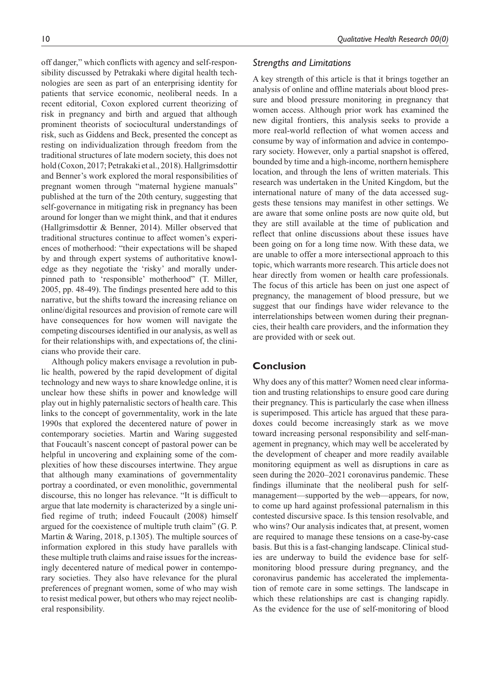off danger," which conflicts with agency and self-responsibility discussed by Petrakaki where digital health technologies are seen as part of an enterprising identity for patients that service economic, neoliberal needs. In a recent editorial, Coxon explored current theorizing of risk in pregnancy and birth and argued that although prominent theorists of sociocultural understandings of risk, such as Giddens and Beck, presented the concept as resting on individualization through freedom from the traditional structures of late modern society, this does not hold (Coxon, 2017; Petrakaki et al., 2018). Hallgrimsdottir and Benner's work explored the moral responsibilities of pregnant women through "maternal hygiene manuals" published at the turn of the 20th century, suggesting that self-governance in mitigating risk in pregnancy has been around for longer than we might think, and that it endures (Hallgrimsdottir & Benner, 2014). Miller observed that traditional structures continue to affect women's experiences of motherhood: "their expectations will be shaped by and through expert systems of authoritative knowledge as they negotiate the 'risky' and morally underpinned path to 'responsible' motherhood" (T. Miller, 2005, pp. 48-49). The findings presented here add to this narrative, but the shifts toward the increasing reliance on online/digital resources and provision of remote care will have consequences for how women will navigate the competing discourses identified in our analysis, as well as for their relationships with, and expectations of, the clinicians who provide their care.

Although policy makers envisage a revolution in public health, powered by the rapid development of digital technology and new ways to share knowledge online, it is unclear how these shifts in power and knowledge will play out in highly paternalistic sectors of health care. This links to the concept of governmentality, work in the late 1990s that explored the decentered nature of power in contemporary societies. Martin and Waring suggested that Foucault's nascent concept of pastoral power can be helpful in uncovering and explaining some of the complexities of how these discourses intertwine. They argue that although many examinations of governmentality portray a coordinated, or even monolithic, governmental discourse, this no longer has relevance. "It is difficult to argue that late modernity is characterized by a single unified regime of truth; indeed Foucault (2008) himself argued for the coexistence of multiple truth claim" (G. P. Martin & Waring, 2018, p.1305). The multiple sources of information explored in this study have parallels with these multiple truth claims and raise issues for the increasingly decentered nature of medical power in contemporary societies. They also have relevance for the plural preferences of pregnant women, some of who may wish to resist medical power, but others who may reject neoliberal responsibility.

# *Strengths and Limitations*

A key strength of this article is that it brings together an analysis of online and offline materials about blood pressure and blood pressure monitoring in pregnancy that women access. Although prior work has examined the new digital frontiers, this analysis seeks to provide a more real-world reflection of what women access and consume by way of information and advice in contemporary society. However, only a partial snapshot is offered, bounded by time and a high-income, northern hemisphere location, and through the lens of written materials. This research was undertaken in the United Kingdom, but the international nature of many of the data accessed suggests these tensions may manifest in other settings. We are aware that some online posts are now quite old, but they are still available at the time of publication and reflect that online discussions about these issues have been going on for a long time now. With these data, we are unable to offer a more intersectional approach to this topic, which warrants more research. This article does not hear directly from women or health care professionals. The focus of this article has been on just one aspect of pregnancy, the management of blood pressure, but we suggest that our findings have wider relevance to the interrelationships between women during their pregnancies, their health care providers, and the information they are provided with or seek out.

# **Conclusion**

Why does any of this matter? Women need clear information and trusting relationships to ensure good care during their pregnancy. This is particularly the case when illness is superimposed. This article has argued that these paradoxes could become increasingly stark as we move toward increasing personal responsibility and self-management in pregnancy, which may well be accelerated by the development of cheaper and more readily available monitoring equipment as well as disruptions in care as seen during the 2020–2021 coronavirus pandemic. These findings illuminate that the neoliberal push for selfmanagement—supported by the web—appears, for now, to come up hard against professional paternalism in this contested discursive space. Is this tension resolvable, and who wins? Our analysis indicates that, at present, women are required to manage these tensions on a case-by-case basis. But this is a fast-changing landscape. Clinical studies are underway to build the evidence base for selfmonitoring blood pressure during pregnancy, and the coronavirus pandemic has accelerated the implementation of remote care in some settings. The landscape in which these relationships are cast is changing rapidly. As the evidence for the use of self-monitoring of blood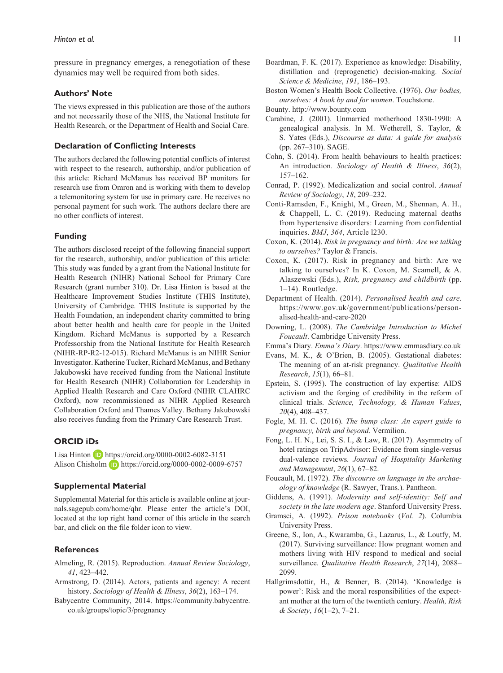pressure in pregnancy emerges, a renegotiation of these dynamics may well be required from both sides.

#### **Authors' Note**

The views expressed in this publication are those of the authors and not necessarily those of the NHS, the National Institute for Health Research, or the Department of Health and Social Care.

## **Declaration of Conflicting Interests**

The authors declared the following potential conflicts of interest with respect to the research, authorship, and/or publication of this article: Richard McManus has received BP monitors for research use from Omron and is working with them to develop a telemonitoring system for use in primary care. He receives no personal payment for such work. The authors declare there are no other conflicts of interest.

#### **Funding**

The authors disclosed receipt of the following financial support for the research, authorship, and/or publication of this article: This study was funded by a grant from the National Institute for Health Research (NIHR) National School for Primary Care Research (grant number 310). Dr. Lisa Hinton is based at the Healthcare Improvement Studies Institute (THIS Institute), University of Cambridge. THIS Institute is supported by the Health Foundation, an independent charity committed to bring about better health and health care for people in the United Kingdom. Richard McManus is supported by a Research Professorship from the National Institute for Health Research (NIHR-RP-R2-12-015). Richard McManus is an NIHR Senior Investigator. Katherine Tucker, Richard McManus, and Bethany Jakubowski have received funding from the National Institute for Health Research (NIHR) Collaboration for Leadership in Applied Health Research and Care Oxford (NIHR CLAHRC Oxford), now recommissioned as NIHR Applied Research Collaboration Oxford and Thames Valley. Bethany Jakubowski also receives funding from the Primary Care Research Trust.

#### **ORCID iDs**

Lisa Hinton **D** <https://orcid.org/0000-0002-6082-3151> Alison Chisholm **D** <https://orcid.org/0000-0002-0009-6757>

#### **Supplemental Material**

Supplemental Material for this article is available online at [jour](http://journals.sagepub.com/home/qhr)[nals.sagepub.com/home/qhr.](http://journals.sagepub.com/home/qhr) Please enter the article's DOI, located at the top right hand corner of this article in the search bar, and click on the file folder icon to view.

#### **References**

- Almeling, R. (2015). Reproduction. *Annual Review Sociology*, *41*, 423–442.
- Armstrong, D. (2014). Actors, patients and agency: A recent history. *Sociology of Health & Illness*, *36*(2), 163–174.
- Babycentre Community, 2014. [https://community.babycentre.](https://community.babycentre.co.uk/groups/topic/3/pregnancy) [co.uk/groups/topic/3/pregnancy](https://community.babycentre.co.uk/groups/topic/3/pregnancy)
- Boardman, F. K. (2017). Experience as knowledge: Disability, distillation and (reprogenetic) decision-making. *Social Science & Medicine*, *191*, 186–193.
- Boston Women's Health Book Collective. (1976). *Our bodies, ourselves: A book by and for women*. Touchstone.
- Bounty.<http://www.bounty.com>
- Carabine, J. (2001). Unmarried motherhood 1830-1990: A genealogical analysis. In M. Wetherell, S. Taylor, & S. Yates (Eds.), *Discourse as data: A guide for analysis* (pp. 267–310). SAGE.
- Cohn, S. (2014). From health behaviours to health practices: An introduction. *Sociology of Health & Illness*, *36*(2), 157–162.
- Conrad, P. (1992). Medicalization and social control. *Annual Review of Sociology*, *18*, 209–232.
- Conti-Ramsden, F., Knight, M., Green, M., Shennan, A. H., & Chappell, L. C. (2019). Reducing maternal deaths from hypertensive disorders: Learning from confidential inquiries. *BMJ*, *364*, Article l230.
- Coxon, K. (2014). *Risk in pregnancy and birth: Are we talking to ourselves?* Taylor & Francis.
- Coxon, K. (2017). Risk in pregnancy and birth: Are we talking to ourselves? In K. Coxon, M. Scamell, & A. Alaszewski (Eds.), *Risk, pregnancy and childbirth* (pp. 1–14). Routledge.
- Department of Health. (2014). *Personalised health and care*. [https://www.gov.uk/government/publications/person](https://www.gov.uk/government/publications/personalised-health-and-care-2020)[alised-health-and-care-2020](https://www.gov.uk/government/publications/personalised-health-and-care-2020)
- Downing, L. (2008). *The Cambridge Introduction to Michel Foucault*. Cambridge University Press.
- Emma's Diary. *Emma's Diary*.<https://www.emmasdiary.co.uk>
- Evans, M. K., & O'Brien, B. (2005). Gestational diabetes: The meaning of an at-risk pregnancy. *Qualitative Health Research*, *15*(1), 66–81.
- Epstein, S. (1995). The construction of lay expertise: AIDS activism and the forging of credibility in the reform of clinical trials. *Science, Technology, & Human Values*, *20*(4), 408–437.
- Fogle, M. H. C. (2016). *The bump class: An expert guide to pregnancy, birth and beyond*. Vermilion.
- Fong, L. H. N., Lei, S. S. I., & Law, R. (2017). Asymmetry of hotel ratings on TripAdvisor: Evidence from single-versus dual-valence reviews. *Journal of Hospitality Marketing and Management*, *26*(1), 67–82.
- Foucault, M. (1972). *The discourse on language in the archaeology of knowledge* (R. Sawyer, Trans.). Pantheon.
- Giddens, A. (1991). *Modernity and self-identity: Self and society in the late modern age*. Stanford University Press.
- Gramsci, A. (1992). *Prison notebooks* (*Vol. 2*). Columbia University Press.
- Greene, S., Ion, A., Kwaramba, G., Lazarus, L., & Loutfy, M. (2017). Surviving surveillance: How pregnant women and mothers living with HIV respond to medical and social surveillance. *Qualitative Health Research*, *27*(14), 2088– 2099.
- Hallgrimsdottir, H., & Benner, B. (2014). 'Knowledge is power': Risk and the moral responsibilities of the expectant mother at the turn of the twentieth century. *Health, Risk & Society*, *16*(1–2), 7–21.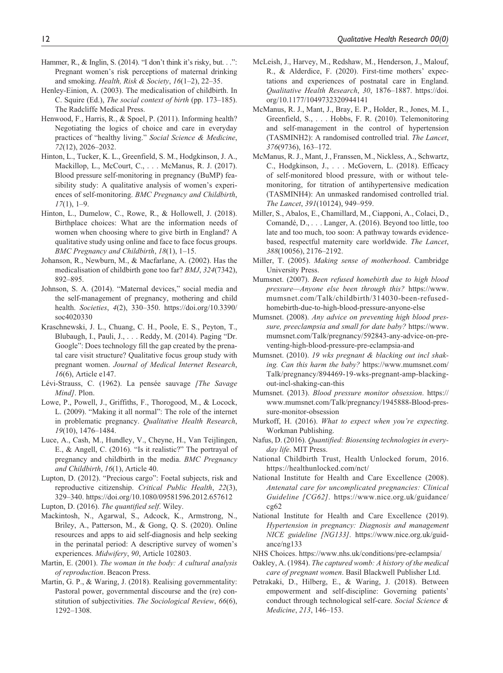- Hammer, R., & Inglin, S. (2014). "I don't think it's risky, but. . .": Pregnant women's risk perceptions of maternal drinking and smoking. *Health, Risk & Society*, *16*(1–2), 22–35.
- Henley-Einion, A. (2003). The medicalisation of childbirth. In C. Squire (Ed.), *The social context of birth* (pp. 173–185). The Radcliffe Medical Press.
- Henwood, F., Harris, R., & Spoel, P. (2011). Informing health? Negotiating the logics of choice and care in everyday practices of "healthy living." *Social Science & Medicine*, *72*(12), 2026–2032.
- Hinton, L., Tucker, K. L., Greenfield, S. M., Hodgkinson, J. A., Mackillop, L., McCourt, C., . . . McManus, R. J. (2017). Blood pressure self-monitoring in pregnancy (BuMP) feasibility study: A qualitative analysis of women's experiences of self-monitoring. *BMC Pregnancy and Childbirth*, *17*(1), 1–9.
- Hinton, L., Dumelow, C., Rowe, R., & Hollowell, J. (2018). Birthplace choices: What are the information needs of women when choosing where to give birth in England? A qualitative study using online and face to face focus groups. *BMC Pregnancy and Childbirth*, *18*(1), 1–15.
- Johanson, R., Newburn, M., & Macfarlane, A. (2002). Has the medicalisation of childbirth gone too far? *BMJ*, *324*(7342), 892–895.
- Johnson, S. A. (2014). "Maternal devices," social media and the self-management of pregnancy, mothering and child health. *Societies*, *4*(2), 330–350. [https://doi.org/10.3390/](https://doi.org/10.3390/soc4020330) [soc4020330](https://doi.org/10.3390/soc4020330)
- Kraschnewski, J. L., Chuang, C. H., Poole, E. S., Peyton, T., Blubaugh, I., Pauli, J., . . . Reddy, M. (2014). Paging "Dr. Google": Does technology fill the gap created by the prenatal care visit structure? Qualitative focus group study with pregnant women. *Journal of Medical Internet Research*, *16*(6), Article e147.
- Lévi-Strauss, C. (1962). La pensée sauvage *[The Savage Mind]*. Plon.
- Lowe, P., Powell, J., Griffiths, F., Thorogood, M., & Locock, L. (2009). "Making it all normal": The role of the internet in problematic pregnancy. *Qualitative Health Research*, *19*(10), 1476–1484.
- Luce, A., Cash, M., Hundley, V., Cheyne, H., Van Teijlingen, E., & Angell, C. (2016). "Is it realistic?" The portrayal of pregnancy and childbirth in the media. *BMC Pregnancy and Childbirth*, *16*(1), Article 40.
- Lupton, D. (2012). "Precious cargo": Foetal subjects, risk and reproductive citizenship. *Critical Public Health*, *22*(3), 329–340. <https://doi.org/10.1080/09581596.2012.657612>
- Lupton, D. (2016). *The quantified self*. Wiley.
- Mackintosh, N., Agarwal, S., Adcock, K., Armstrong, N., Briley, A., Patterson, M., & Gong, Q. S. (2020). Online resources and apps to aid self-diagnosis and help seeking in the perinatal period: A descriptive survey of women's experiences. *Midwifery*, *90*, Article 102803.
- Martin, E. (2001). *The woman in the body: A cultural analysis of reproduction*. Beacon Press.
- Martin, G. P., & Waring, J. (2018). Realising governmentality: Pastoral power, governmental discourse and the (re) constitution of subjectivities. *The Sociological Review*, *66*(6), 1292–1308.
- McLeish, J., Harvey, M., Redshaw, M., Henderson, J., Malouf, R., & Alderdice, F. (2020). First-time mothers' expectations and experiences of postnatal care in England. *Qualitative Health Research*, *30*, 1876–1887. [https://doi.](https://doi.org/10.1177/1049732320944141) [org/10.1177/1049732320944141](https://doi.org/10.1177/1049732320944141)
- McManus, R. J., Mant, J., Bray, E. P., Holder, R., Jones, M. I., Greenfield, S., . . . Hobbs, F. R. (2010). Telemonitoring and self-management in the control of hypertension (TASMINH2): A randomised controlled trial. *The Lancet*, *376*(9736), 163–172.
- McManus, R. J., Mant, J., Franssen, M., Nickless, A., Schwartz, C., Hodgkinson, J., . . . McGovern, L. (2018). Efficacy of self-monitored blood pressure, with or without telemonitoring, for titration of antihypertensive medication (TASMINH4): An unmasked randomised controlled trial. *The Lancet*, *391*(10124), 949–959.
- Miller, S., Abalos, E., Chamillard, M., Ciapponi, A., Colaci, D., Comandé, D., . . . Langer, A. (2016). Beyond too little, too late and too much, too soon: A pathway towards evidencebased, respectful maternity care worldwide. *The Lancet*, *388*(10056), 2176–2192.
- Miller, T. (2005). *Making sense of motherhood*. Cambridge University Press.
- Mumsnet. (2007). *Been refused homebirth due to high blood pressure—Anyone else been through this?* [https://www.](https://www.mumsnet.com/Talk/childbirth/314030-been-refused-homebirth-due-to-high-blood-pressure-anyone-else) [mumsnet.com/Talk/childbirth/314030-been-refused](https://www.mumsnet.com/Talk/childbirth/314030-been-refused-homebirth-due-to-high-blood-pressure-anyone-else)[homebirth-due-to-high-blood-pressure-anyone-else](https://www.mumsnet.com/Talk/childbirth/314030-been-refused-homebirth-due-to-high-blood-pressure-anyone-else)
- Mumsnet. (2008). *Any advice on preventing high blood pressure, preeclampsia and small for date baby?* [https://www.](https://www.mumsnet.com/Talk/pregnancy/592843-any-advice-on-preventing-high-blood-pressure-pre-eclampsia-and) [mumsnet.com/Talk/pregnancy/592843-any-advice-on-pre](https://www.mumsnet.com/Talk/pregnancy/592843-any-advice-on-preventing-high-blood-pressure-pre-eclampsia-and)[venting-high-blood-pressure-pre-eclampsia-and](https://www.mumsnet.com/Talk/pregnancy/592843-any-advice-on-preventing-high-blood-pressure-pre-eclampsia-and)
- Mumsnet. (2010). *19 wks pregnant & blacking out incl shaking. Can this harm the baby?* [https://www.mumsnet.com/](https://www.mumsnet.com/Talk/pregnancy/894469-19-wks-pregnant-amp-blacking-out-incl-shaking-can-this) [Talk/pregnancy/894469-19-wks-pregnant-amp-blacking](https://www.mumsnet.com/Talk/pregnancy/894469-19-wks-pregnant-amp-blacking-out-incl-shaking-can-this)[out-incl-shaking-can-this](https://www.mumsnet.com/Talk/pregnancy/894469-19-wks-pregnant-amp-blacking-out-incl-shaking-can-this)
- Mumsnet. (2013). *Blood pressure monitor obsession*. [https://](https://www.mumsnet.com/Talk/pregnancy/1945888-Blood-pressure-monitor-obsession) [www.mumsnet.com/Talk/pregnancy/1945888-Blood-pres](https://www.mumsnet.com/Talk/pregnancy/1945888-Blood-pressure-monitor-obsession)[sure-monitor-obsession](https://www.mumsnet.com/Talk/pregnancy/1945888-Blood-pressure-monitor-obsession)
- Murkoff, H. (2016). *What to expect when you're expecting*. Workman Publishing.
- Nafus, D. (2016). *Quantified: Biosensing technologies in everyday life*. MIT Press.
- National Childbirth Trust, Health Unlocked forum, 2016. <https://healthunlocked.com/nct/>
- National Institute for Health and Care Excellence (2008). *Antenatal care for uncomplicated pregnancies: Clinical Guideline [CG62]*. [https://www.nice.org.uk/guidance/](https://www.nice.org.uk/guidance/cg62) [cg62](https://www.nice.org.uk/guidance/cg62)
- National Institute for Health and Care Excellence (2019). *Hypertension in pregnancy: Diagnosis and management NICE guideline [NG133]*. [https://www.nice.org.uk/guid](https://www.nice.org.uk/guidance/ng133)[ance/ng133](https://www.nice.org.uk/guidance/ng133)
- NHS Choices. <https://www.nhs.uk/conditions/pre-eclampsia/>
- Oakley, A. (1984). *The captured womb: A history of the medical care of pregnant women*. Basil Blackwell Publisher Ltd.
- Petrakaki, D., Hilberg, E., & Waring, J. (2018). Between empowerment and self-discipline: Governing patients' conduct through technological self-care. *Social Science & Medicine*, *213*, 146–153.